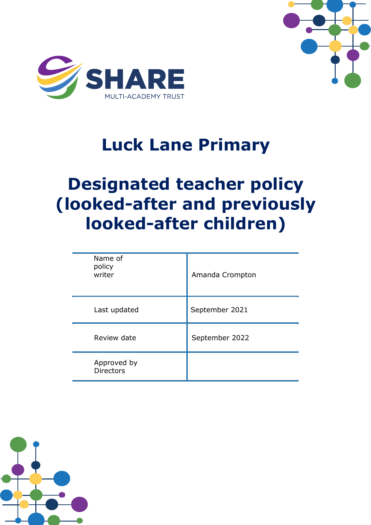



# **Luck Lane Primary**

# **Designated teacher policy (looked-after and previously looked-after children)**

| Name of<br>policy<br>writer     | Amanda Crompton |
|---------------------------------|-----------------|
| Last updated                    | September 2021  |
| Review date                     | September 2022  |
| Approved by<br><b>Directors</b> |                 |

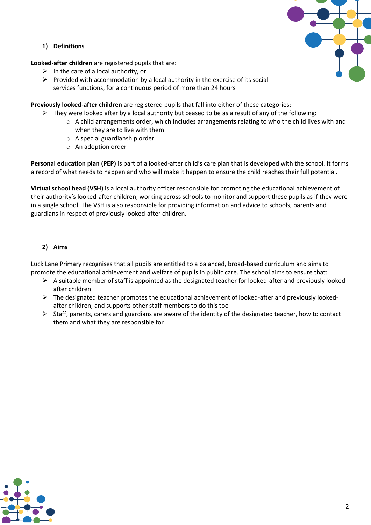# **1) Definitions**

### **Looked-after children** are registered pupils that are:

- $\triangleright$  In the care of a local authority, or
- $\triangleright$  Provided with accommodation by a local authority in the exercise of its social services functions, for a continuous period of more than 24 hours

**Previously looked-after children** are registered pupils that fall into either of these categories:

- $\triangleright$  They were looked after by a local authority but ceased to be as a result of any of the following:
	- o A child arrangements order, which includes arrangements relating to who the child lives with and when they are to live with them
	- o A special guardianship order
	- o An adoption order

**Personal education plan (PEP)** is part of a looked-after child's care plan that is developed with the school. It forms a record of what needs to happen and who will make it happen to ensure the child reaches their full potential.

**Virtual school head (VSH)** is a local authority officer responsible for promoting the educational achievement of their authority's looked-after children, working across schools to monitor and support these pupils as if they were in a single school. The VSH is also responsible for providing information and advice to schools, parents and guardians in respect of previously looked-after children.

# **2) Aims**

Luck Lane Primary recognises that all pupils are entitled to a balanced, broad-based curriculum and aims to promote the educational achievement and welfare of pupils in public care. The school aims to ensure that:

- $\triangleright$  A suitable member of staff is appointed as the designated teacher for looked-after and previously lookedafter children
- $\triangleright$  The designated teacher promotes the educational achievement of looked-after and previously lookedafter children, and supports other staff members to do this too
- $\triangleright$  Staff, parents, carers and guardians are aware of the identity of the designated teacher, how to contact them and what they are responsible for

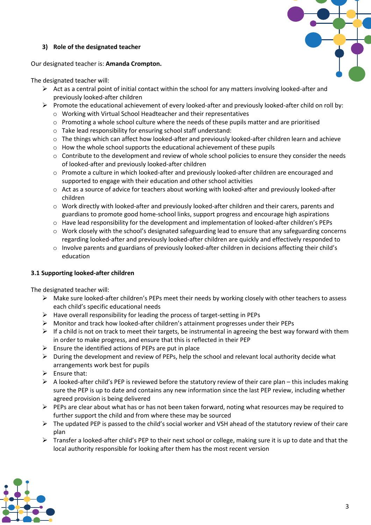# **3) Role of the designated teacher**



Our designated teacher is: **Amanda Crompton.**

#### The designated teacher will:

- $\triangleright$  Act as a central point of initial contact within the school for any matters involving looked-after and previously looked-after children
- ➢ Promote the educational achievement of every looked-after and previously looked-after child on roll by:
	- o Working with Virtual School Headteacher and their representatives
	- o Promoting a whole school culture where the needs of these pupils matter and are prioritised
	- o Take lead responsibility for ensuring school staff understand:
	- o The things which can affect how looked-after and previously looked-after children learn and achieve
	- $\circ$  How the whole school supports the educational achievement of these pupils
	- o Contribute to the development and review of whole school policies to ensure they consider the needs of looked-after and previously looked-after children
	- o Promote a culture in which looked-after and previously looked-after children are encouraged and supported to engage with their education and other school activities
	- o Act as a source of advice for teachers about working with looked-after and previously looked-after children
	- o Work directly with looked-after and previously looked-after children and their carers, parents and guardians to promote good home-school links, support progress and encourage high aspirations
	- o Have lead responsibility for the development and implementation of looked-after children's PEPs
	- o Work closely with the school's designated safeguarding lead to ensure that any safeguarding concerns regarding looked-after and previously looked-after children are quickly and effectively responded to
	- o Involve parents and guardians of previously looked-after children in decisions affecting their child's education

### **3.1 Supporting looked-after children**

The designated teacher will:

- ➢ Make sure looked-after children's PEPs meet their needs by working closely with other teachers to assess each child's specific educational needs
- ➢ Have overall responsibility for leading the process of target-setting in PEPs
- ➢ Monitor and track how looked-after children's attainment progresses under their PEPs
- $\triangleright$  If a child is not on track to meet their targets, be instrumental in agreeing the best way forward with them in order to make progress, and ensure that this is reflected in their PEP
- $\triangleright$  Ensure the identified actions of PEPs are put in place
- $\triangleright$  During the development and review of PEPs, help the school and relevant local authority decide what arrangements work best for pupils
- $\triangleright$  Ensure that:
- $\triangleright$  A looked-after child's PEP is reviewed before the statutory review of their care plan this includes making sure the PEP is up to date and contains any new information since the last PEP review, including whether agreed provision is being delivered
- $\triangleright$  PEPs are clear about what has or has not been taken forward, noting what resources may be required to further support the child and from where these may be sourced
- $\triangleright$  The updated PEP is passed to the child's social worker and VSH ahead of the statutory review of their care plan
- $\triangleright$  Transfer a looked-after child's PEP to their next school or college, making sure it is up to date and that the local authority responsible for looking after them has the most recent version

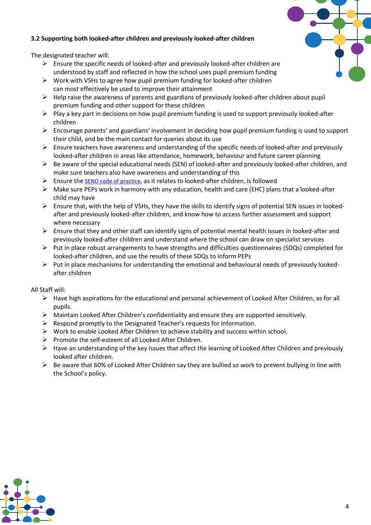# **3.2 Supporting both looked-after children and previously looked-after children**

The designated teacher will:

- $\triangleright$  Ensure the specific needs of looked-after and previously looked-after children are understood by staff and reflected in how the school uses pupil premium funding
- $\triangleright$  Work with VSHs to agree how pupil premium funding for looked-after children can most effectively be used to improve their attainment
- $\triangleright$  Help raise the awareness of parents and guardians of previously looked-after children about pupil premium funding and other support for these children
- $\triangleright$  Play a key part in decisions on how pupil premium funding is used to support previously looked-after children
- $\triangleright$  Encourage parents' and guardians' involvement in deciding how pupil premium funding is used to support their child, and be the main contact for queries about its use
- $\triangleright$  Ensure teachers have awareness and understanding of the specific needs of looked-after and previously looked-after children in areas like attendance, homework, behaviour and future career planning
- $\triangleright$  Be aware of the special educational needs (SEN) of looked-after and previously looked-after children, and make sure teachers also have awareness and understanding of this
- $\triangleright$  Ensure the [SEND code of practice](https://www.gov.uk/government/publications/send-code-of-practice-0-to-25), as it relates to looked-after children, is followed
- $\triangleright$  Make sure PEPs work in harmony with any education, health and care (EHC) plans that a looked-after child may have
- $\triangleright$  Ensure that, with the help of VSHs, they have the skills to identify signs of potential SEN issues in lookedafter and previously looked-after children, and know how to access further assessment and support where necessary
- $\triangleright$  Ensure that they and other staff can identify signs of potential mental health issues in looked-after and previously looked-after children and understand where the school can draw on specialist services
- $\triangleright$  Put in place robust arrangements to have strengths and difficulties questionnaires (SDQs) completed for looked-after children, and use the results of these SDQs to inform PEPs
- $\triangleright$  Put in place mechanisms for understanding the emotional and behavioural needs of previously lookedafter children

All Staff will:

- $\triangleright$  Have high aspirations for the educational and personal achievement of Looked After Children, as for all pupils.
- $\triangleright$  Maintain Looked After Children's confidentiality and ensure they are supported sensitively.
- ➢ Respond promptly to the Designated Teacher's requests for information.
- $\triangleright$  Work to enable Looked After Children to achieve stability and success within school.
- ➢ Promote the self-esteem of all Looked After Children.
- ➢ Have an understanding of the key issues that affect the learning of Looked After Children and previously looked after children.
- $\triangleright$  Be aware that 60% of Looked After Children say they are bullied so work to prevent bullying in line with the School's policy.